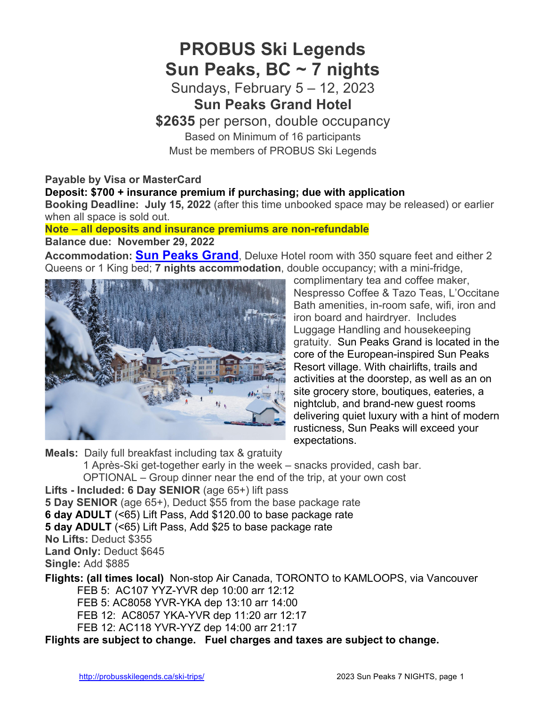# **PROBUS Ski Legends Sun Peaks, BC ~ 7 nights**

Sundays, February 5 – 12, 2023 **Sun Peaks Grand Hotel**

**\$2635** per person, double occupancy Based on Minimum of 16 participants Must be members of PROBUS Ski Legends

# **Payable by Visa or MasterCard**

# **Deposit: \$700 + insurance premium if purchasing; due with application**

**Booking Deadline: July 15, 2022** (after this time unbooked space may be released) or earlier when all space is sold out.

**Note – all deposits and insurance premiums are non-refundable**

## **Balance due: November 29, 2022**

**Accommodation: Sun Peaks Grand**, Deluxe Hotel room with 350 square feet and either 2 Queens or 1 King bed; **7 nights accommodation**, double occupancy; with a mini-fridge,



complimentary tea and coffee maker, Nespresso Coffee & Tazo Teas, L'Occitane Bath amenities, in-room safe, wifi, iron and iron board and hairdryer. Includes Luggage Handling and housekeeping gratuity. Sun Peaks Grand is located in the core of the European-inspired Sun Peaks Resort village. With chairlifts, trails and activities at the doorstep, as well as an on site grocery store, boutiques, eateries, a nightclub, and brand-new guest rooms delivering quiet luxury with a hint of modern rusticness, Sun Peaks will exceed your expectations.

**Meals:** Daily full breakfast including tax & gratuity

1 Après-Ski get-together early in the week – snacks provided, cash bar.

OPTIONAL – Group dinner near the end of the trip, at your own cost

**Lifts - Included: 6 Day SENIOR** (age 65+) lift pass

**5 Day SENIOR** (age 65+), Deduct \$55 from the base package rate

**6 day ADULT** (<65) Lift Pass, Add \$120.00 to base package rate

**5 day ADULT** (<65) Lift Pass, Add \$25 to base package rate

**No Lifts:** Deduct \$355

**Land Only:** Deduct \$645 **Single:** Add \$885

**Flights: (all times local)** Non-stop Air Canada, TORONTO to KAMLOOPS, via Vancouver

FEB 5: AC107 YYZ-YVR dep 10:00 arr 12:12

FEB 5: AC8058 YVR-YKA dep 13:10 arr 14:00

FEB 12: AC8057 YKA-YVR dep 11:20 arr 12:17

FEB 12: AC118 YVR-YYZ dep 14:00 arr 21:17

**Flights are subject to change. Fuel charges and taxes are subject to change.**